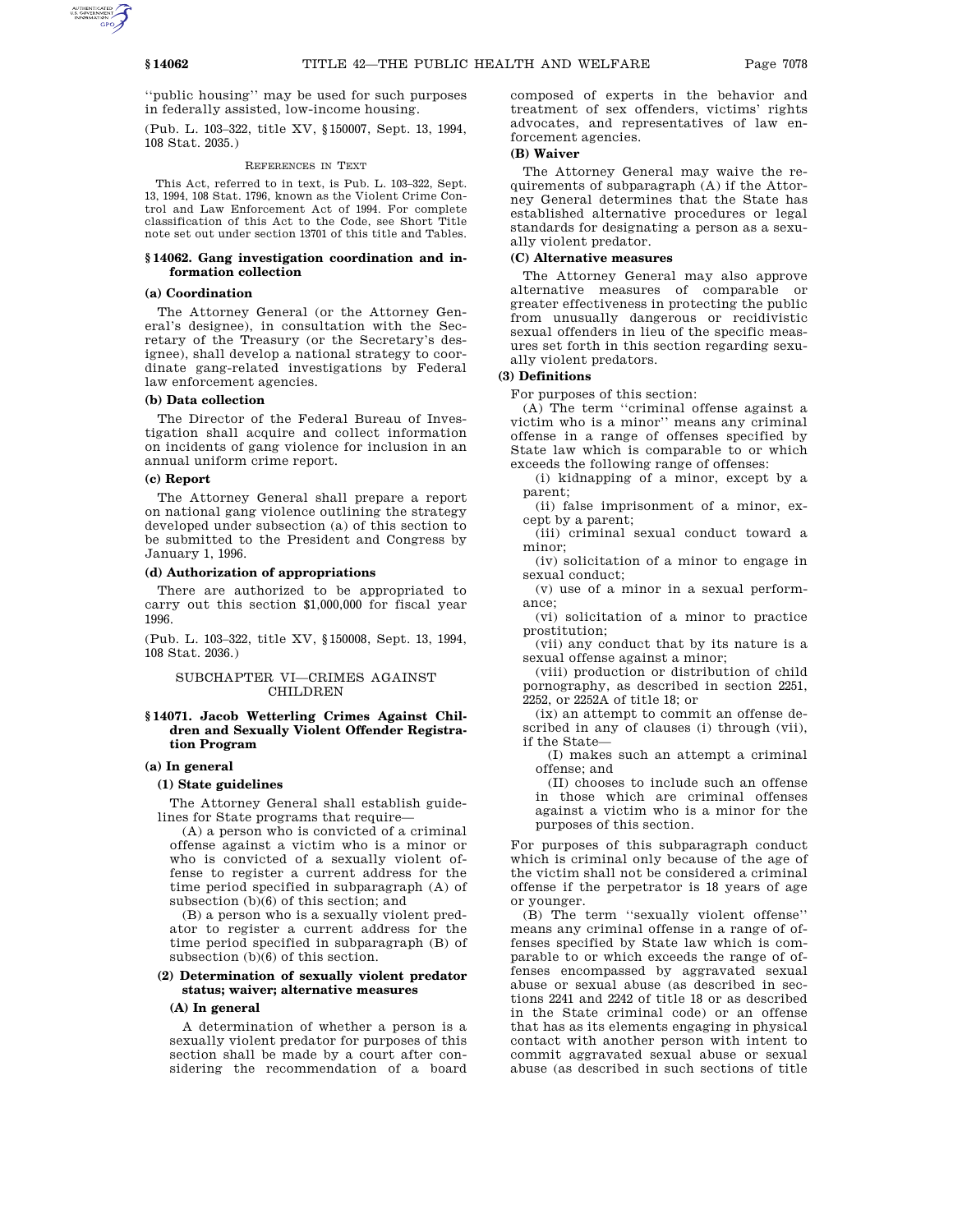''public housing'' may be used for such purposes in federally assisted, low-income housing.

(Pub. L. 103–322, title XV, §150007, Sept. 13, 1994, 108 Stat. 2035.)

#### REFERENCES IN TEXT

This Act, referred to in text, is Pub. L. 103–322, Sept. 13, 1994, 108 Stat. 1796, known as the Violent Crime Control and Law Enforcement Act of 1994. For complete classification of this Act to the Code, see Short Title note set out under section 13701 of this title and Tables.

#### **§ 14062. Gang investigation coordination and information collection**

## **(a) Coordination**

The Attorney General (or the Attorney General's designee), in consultation with the Secretary of the Treasury (or the Secretary's designee), shall develop a national strategy to coordinate gang-related investigations by Federal law enforcement agencies.

#### **(b) Data collection**

The Director of the Federal Bureau of Investigation shall acquire and collect information on incidents of gang violence for inclusion in an annual uniform crime report.

### **(c) Report**

The Attorney General shall prepare a report on national gang violence outlining the strategy developed under subsection (a) of this section to be submitted to the President and Congress by January 1, 1996.

## **(d) Authorization of appropriations**

There are authorized to be appropriated to carry out this section \$1,000,000 for fiscal year 1996.

(Pub. L. 103–322, title XV, §150008, Sept. 13, 1994, 108 Stat. 2036.)

### SUBCHAPTER VI—CRIMES AGAINST CHILDREN

### **§ 14071. Jacob Wetterling Crimes Against Children and Sexually Violent Offender Registration Program**

#### **(a) In general**

#### **(1) State guidelines**

The Attorney General shall establish guidelines for State programs that require—

(A) a person who is convicted of a criminal offense against a victim who is a minor or who is convicted of a sexually violent offense to register a current address for the time period specified in subparagraph (A) of subsection (b)(6) of this section; and

(B) a person who is a sexually violent predator to register a current address for the time period specified in subparagraph (B) of subsection (b)(6) of this section.

## **(2) Determination of sexually violent predator status; waiver; alternative measures**

#### **(A) In general**

A determination of whether a person is a sexually violent predator for purposes of this section shall be made by a court after considering the recommendation of a board

composed of experts in the behavior and treatment of sex offenders, victims' rights advocates, and representatives of law enforcement agencies.

## **(B) Waiver**

The Attorney General may waive the requirements of subparagraph (A) if the Attorney General determines that the State has established alternative procedures or legal standards for designating a person as a sexually violent predator.

## **(C) Alternative measures**

The Attorney General may also approve alternative measures of comparable or greater effectiveness in protecting the public from unusually dangerous or recidivistic sexual offenders in lieu of the specific measures set forth in this section regarding sexually violent predators.

#### **(3) Definitions**

For purposes of this section:

(A) The term ''criminal offense against a victim who is a minor'' means any criminal offense in a range of offenses specified by State law which is comparable to or which exceeds the following range of offenses:

(i) kidnapping of a minor, except by a parent;

(ii) false imprisonment of a minor, except by a parent;

(iii) criminal sexual conduct toward a minor;

(iv) solicitation of a minor to engage in sexual conduct;

(v) use of a minor in a sexual performance;

(vi) solicitation of a minor to practice prostitution;

(vii) any conduct that by its nature is a sexual offense against a minor;

(viii) production or distribution of child pornography, as described in section 2251, 2252, or 2252A of title 18; or

(ix) an attempt to commit an offense described in any of clauses (i) through (vii), if the State—

(I) makes such an attempt a criminal offense; and

(II) chooses to include such an offense in those which are criminal offenses against a victim who is a minor for the purposes of this section.

For purposes of this subparagraph conduct which is criminal only because of the age of the victim shall not be considered a criminal offense if the perpetrator is 18 years of age or younger.

(B) The term ''sexually violent offense'' means any criminal offense in a range of offenses specified by State law which is comparable to or which exceeds the range of offenses encompassed by aggravated sexual abuse or sexual abuse (as described in sections 2241 and 2242 of title 18 or as described in the State criminal code) or an offense that has as its elements engaging in physical contact with another person with intent to commit aggravated sexual abuse or sexual abuse (as described in such sections of title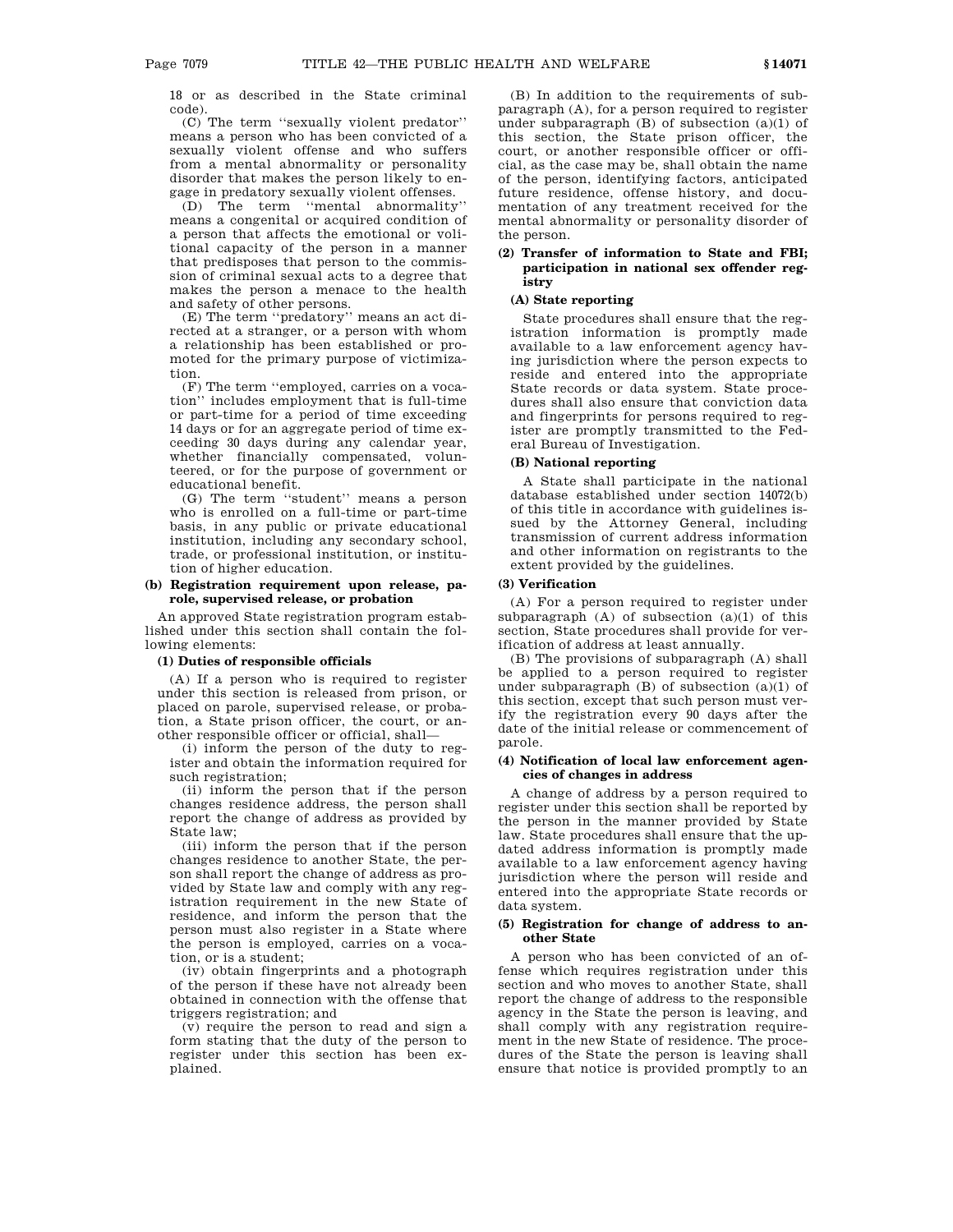18 or as described in the State criminal code).

(C) The term ''sexually violent predator'' means a person who has been convicted of a sexually violent offense and who suffers from a mental abnormality or personality disorder that makes the person likely to engage in predatory sexually violent offenses.

(D) The term ''mental abnormality'' means a congenital or acquired condition of a person that affects the emotional or volitional capacity of the person in a manner that predisposes that person to the commission of criminal sexual acts to a degree that makes the person a menace to the health and safety of other persons.

(E) The term ''predatory'' means an act directed at a stranger, or a person with whom a relationship has been established or promoted for the primary purpose of victimization.

(F) The term ''employed, carries on a vocation'' includes employment that is full-time or part-time for a period of time exceeding 14 days or for an aggregate period of time exceeding 30 days during any calendar year, whether financially compensated, volunteered, or for the purpose of government or educational benefit.

(G) The term ''student'' means a person who is enrolled on a full-time or part-time basis, in any public or private educational institution, including any secondary school, trade, or professional institution, or institution of higher education.

## **(b) Registration requirement upon release, parole, supervised release, or probation**

An approved State registration program established under this section shall contain the following elements:

### **(1) Duties of responsible officials**

(A) If a person who is required to register under this section is released from prison, or placed on parole, supervised release, or probation, a State prison officer, the court, or another responsible officer or official, shall—

(i) inform the person of the duty to register and obtain the information required for such registration;

(ii) inform the person that if the person changes residence address, the person shall report the change of address as provided by State law;

(iii) inform the person that if the person changes residence to another State, the person shall report the change of address as provided by State law and comply with any registration requirement in the new State of residence, and inform the person that the person must also register in a State where the person is employed, carries on a vocation, or is a student;

(iv) obtain fingerprints and a photograph of the person if these have not already been obtained in connection with the offense that triggers registration; and

(v) require the person to read and sign a form stating that the duty of the person to register under this section has been explained.

(B) In addition to the requirements of subparagraph (A), for a person required to register under subparagraph  $(B)$  of subsection  $(a)(1)$  of this section, the State prison officer, the court, or another responsible officer or official, as the case may be, shall obtain the name of the person, identifying factors, anticipated future residence, offense history, and documentation of any treatment received for the mental abnormality or personality disorder of the person.

## **(2) Transfer of information to State and FBI; participation in national sex offender registry**

## **(A) State reporting**

State procedures shall ensure that the registration information is promptly made available to a law enforcement agency having jurisdiction where the person expects to reside and entered into the appropriate State records or data system. State procedures shall also ensure that conviction data and fingerprints for persons required to register are promptly transmitted to the Federal Bureau of Investigation.

### **(B) National reporting**

A State shall participate in the national database established under section 14072(b) of this title in accordance with guidelines issued by the Attorney General, including transmission of current address information and other information on registrants to the extent provided by the guidelines.

### **(3) Verification**

(A) For a person required to register under subparagraph  $(A)$  of subsection  $(a)(1)$  of this section, State procedures shall provide for verification of address at least annually.

(B) The provisions of subparagraph (A) shall be applied to a person required to register under subparagraph  $(B)$  of subsection  $(a)(1)$  of this section, except that such person must verify the registration every 90 days after the date of the initial release or commencement of parole.

## **(4) Notification of local law enforcement agencies of changes in address**

A change of address by a person required to register under this section shall be reported by the person in the manner provided by State law. State procedures shall ensure that the updated address information is promptly made available to a law enforcement agency having jurisdiction where the person will reside and entered into the appropriate State records or data system.

### **(5) Registration for change of address to another State**

A person who has been convicted of an offense which requires registration under this section and who moves to another State, shall report the change of address to the responsible agency in the State the person is leaving, and shall comply with any registration requirement in the new State of residence. The procedures of the State the person is leaving shall ensure that notice is provided promptly to an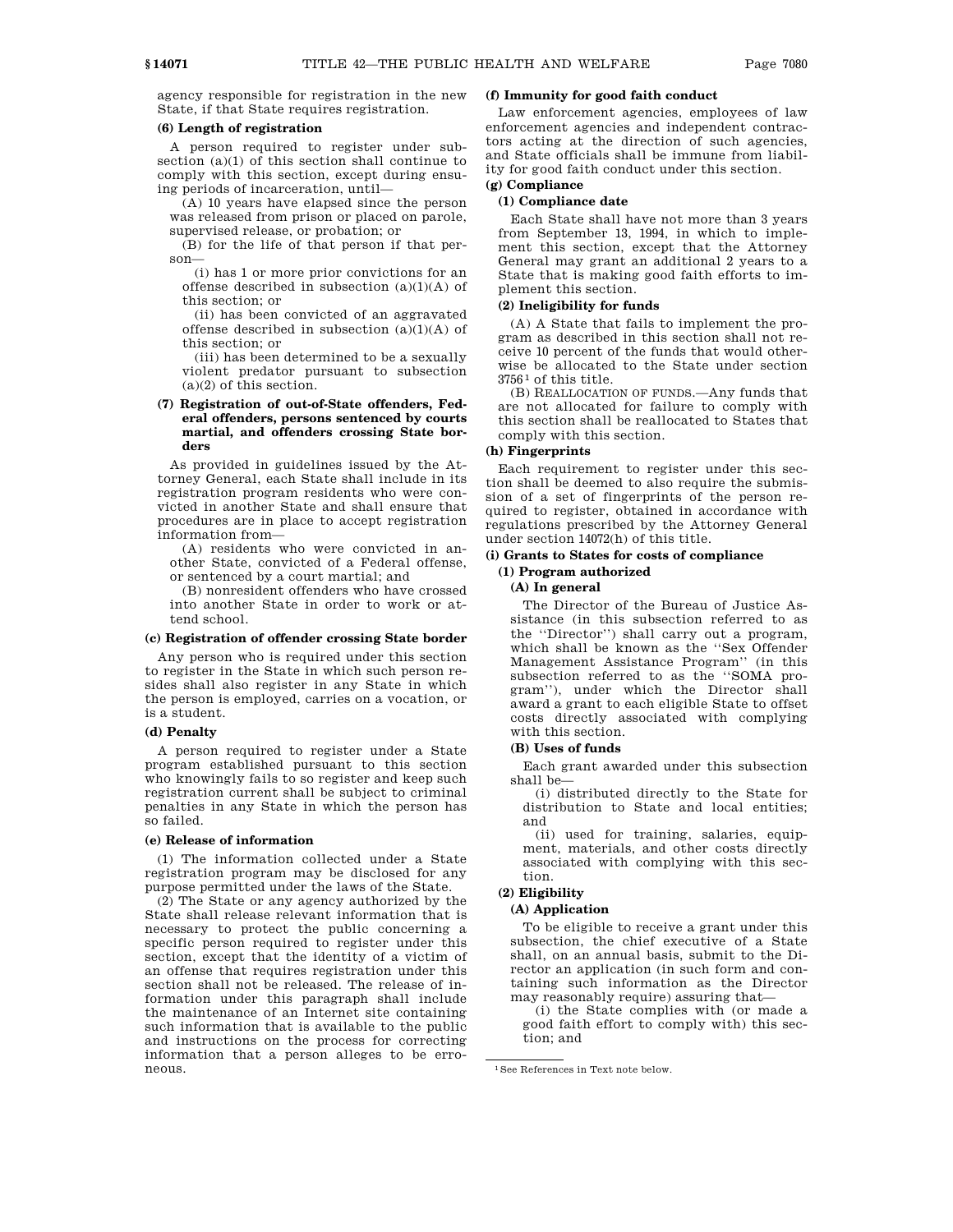agency responsible for registration in the new State, if that State requires registration.

## **(6) Length of registration**

A person required to register under subsection (a)(1) of this section shall continue to comply with this section, except during ensuing periods of incarceration, until—

(A) 10 years have elapsed since the person was released from prison or placed on parole, supervised release, or probation; or

(B) for the life of that person if that person—

(i) has 1 or more prior convictions for an offense described in subsection  $(a)(1)(A)$  of this section; or

(ii) has been convicted of an aggravated offense described in subsection  $(a)(1)(A)$  of this section; or

(iii) has been determined to be a sexually violent predator pursuant to subsection  $(a)(2)$  of this section.

## **(7) Registration of out-of-State offenders, Federal offenders, persons sentenced by courts martial, and offenders crossing State borders**

As provided in guidelines issued by the Attorney General, each State shall include in its registration program residents who were convicted in another State and shall ensure that procedures are in place to accept registration information from—

(A) residents who were convicted in another State, convicted of a Federal offense, or sentenced by a court martial; and

(B) nonresident offenders who have crossed into another State in order to work or attend school.

## **(c) Registration of offender crossing State border**

Any person who is required under this section to register in the State in which such person resides shall also register in any State in which the person is employed, carries on a vocation, or is a student.

#### **(d) Penalty**

A person required to register under a State program established pursuant to this section who knowingly fails to so register and keep such registration current shall be subject to criminal penalties in any State in which the person has so failed.

#### **(e) Release of information**

(1) The information collected under a State registration program may be disclosed for any purpose permitted under the laws of the State.

(2) The State or any agency authorized by the State shall release relevant information that is necessary to protect the public concerning a specific person required to register under this section, except that the identity of a victim of an offense that requires registration under this section shall not be released. The release of information under this paragraph shall include the maintenance of an Internet site containing such information that is available to the public and instructions on the process for correcting information that a person alleges to be erroneous.

## **(f) Immunity for good faith conduct**

Law enforcement agencies, employees of law enforcement agencies and independent contractors acting at the direction of such agencies, and State officials shall be immune from liability for good faith conduct under this section.

# **(g) Compliance**

## **(1) Compliance date**

Each State shall have not more than 3 years from September 13, 1994, in which to implement this section, except that the Attorney General may grant an additional 2 years to a State that is making good faith efforts to implement this section.

#### **(2) Ineligibility for funds**

(A) A State that fails to implement the program as described in this section shall not receive 10 percent of the funds that would otherwise be allocated to the State under section  $3756<sup>1</sup>$  of this title.

(B) REALLOCATION OF FUNDS.—Any funds that are not allocated for failure to comply with this section shall be reallocated to States that comply with this section.

## **(h) Fingerprints**

Each requirement to register under this section shall be deemed to also require the submission of a set of fingerprints of the person required to register, obtained in accordance with regulations prescribed by the Attorney General under section 14072(h) of this title.

## **(i) Grants to States for costs of compliance**

## **(1) Program authorized**

## **(A) In general**

The Director of the Bureau of Justice Assistance (in this subsection referred to as the ''Director'') shall carry out a program, which shall be known as the ''Sex Offender Management Assistance Program'' (in this subsection referred to as the ''SOMA program''), under which the Director shall award a grant to each eligible State to offset costs directly associated with complying with this section.

## **(B) Uses of funds**

Each grant awarded under this subsection shall be—

(i) distributed directly to the State for distribution to State and local entities; and

(ii) used for training, salaries, equipment, materials, and other costs directly associated with complying with this section.

#### **(2) Eligibility**

#### **(A) Application**

To be eligible to receive a grant under this subsection, the chief executive of a State shall, on an annual basis, submit to the Director an application (in such form and containing such information as the Director may reasonably require) assuring that—

(i) the State complies with (or made a good faith effort to comply with) this section; and

<sup>1</sup>See References in Text note below.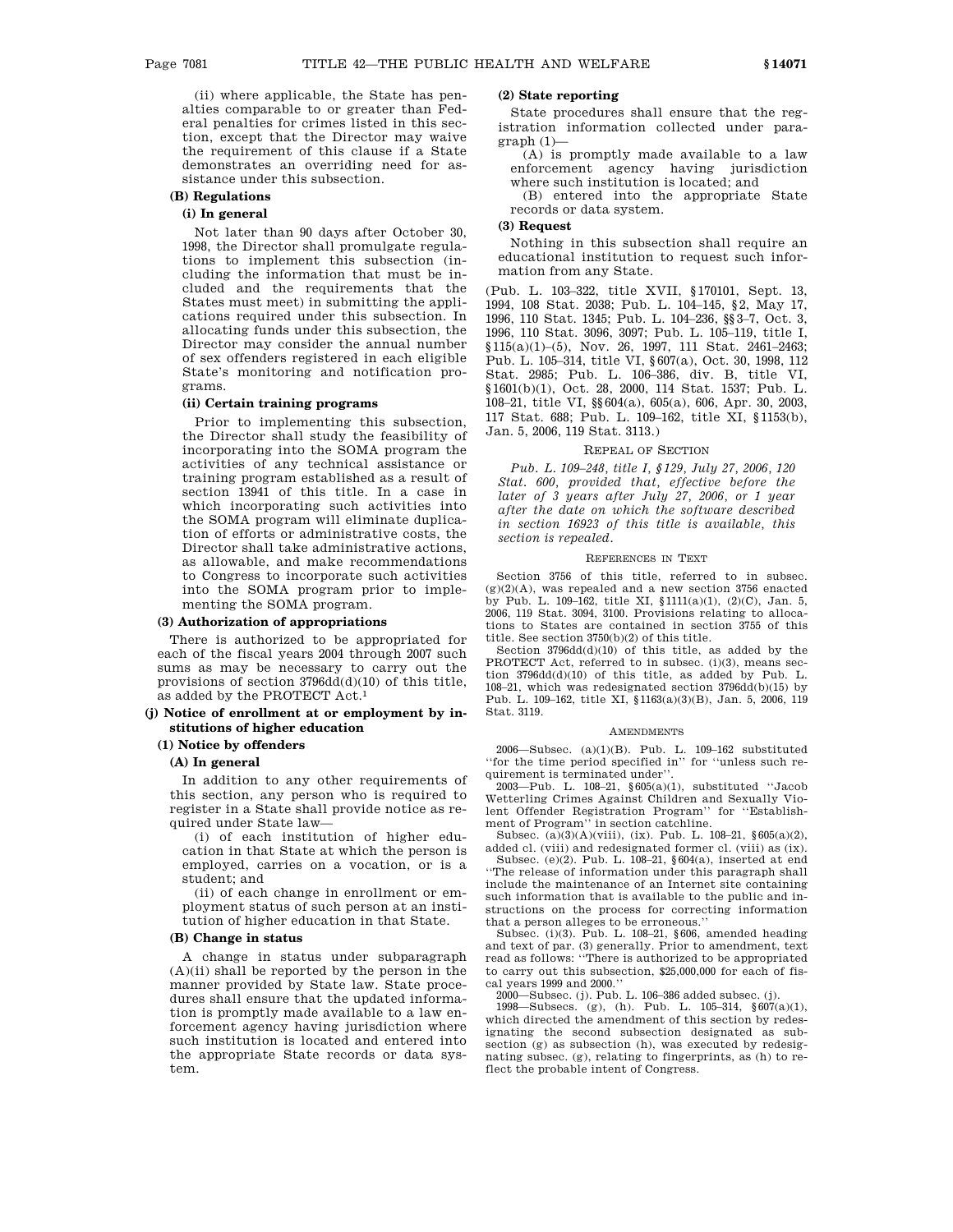(ii) where applicable, the State has penalties comparable to or greater than Federal penalties for crimes listed in this section, except that the Director may waive the requirement of this clause if a State demonstrates an overriding need for assistance under this subsection.

#### **(B) Regulations**

## **(i) In general**

Not later than 90 days after October 30, 1998, the Director shall promulgate regulations to implement this subsection (including the information that must be included and the requirements that the States must meet) in submitting the applications required under this subsection. In allocating funds under this subsection, the Director may consider the annual number of sex offenders registered in each eligible State's monitoring and notification programs.

## **(ii) Certain training programs**

Prior to implementing this subsection, the Director shall study the feasibility of incorporating into the SOMA program the activities of any technical assistance or training program established as a result of section 13941 of this title. In a case in which incorporating such activities into the SOMA program will eliminate duplication of efforts or administrative costs, the Director shall take administrative actions, as allowable, and make recommendations to Congress to incorporate such activities into the SOMA program prior to implementing the SOMA program.

#### **(3) Authorization of appropriations**

There is authorized to be appropriated for each of the fiscal years 2004 through 2007 such sums as may be necessary to carry out the provisions of section 3796dd(d)(10) of this title, as added by the PROTECT Act.1

## **(j) Notice of enrollment at or employment by institutions of higher education**

## **(1) Notice by offenders**

### **(A) In general**

In addition to any other requirements of this section, any person who is required to register in a State shall provide notice as required under State law—

(i) of each institution of higher education in that State at which the person is employed, carries on a vocation, or is a student; and

(ii) of each change in enrollment or employment status of such person at an institution of higher education in that State.

#### **(B) Change in status**

A change in status under subparagraph  $\left( {\rm A} \right)$  (ii) shall be reported by the person in the manner provided by State law. State procedures shall ensure that the updated information is promptly made available to a law enforcement agency having jurisdiction where such institution is located and entered into the appropriate State records or data system.

## **(2) State reporting**

State procedures shall ensure that the registration information collected under para $graph(1)$ —

(A) is promptly made available to a law enforcement agency having jurisdiction where such institution is located; and

(B) entered into the appropriate State records or data system.

#### **(3) Request**

Nothing in this subsection shall require an educational institution to request such information from any State.

(Pub. L. 103–322, title XVII, §170101, Sept. 13, 1994, 108 Stat. 2038; Pub. L. 104–145, §2, May 17, 1996, 110 Stat. 1345; Pub. L. 104–236, §§3–7, Oct. 3, 1996, 110 Stat. 3096, 3097; Pub. L. 105–119, title I, §115(a)(1)-(5), Nov. 26, 1997, 111 Stat. 2461-2463; Pub. L. 105–314, title VI, §607(a), Oct. 30, 1998, 112 Stat. 2985; Pub. L. 106–386, div. B, title VI, §1601(b)(1), Oct. 28, 2000, 114 Stat. 1537; Pub. L. 108–21, title VI, §§604(a), 605(a), 606, Apr. 30, 2003, 117 Stat. 688; Pub. L. 109–162, title XI, §1153(b), Jan. 5, 2006, 119 Stat. 3113.)

### REPEAL OF SECTION

*Pub. L. 109–248, title I, §129, July 27, 2006, 120 Stat. 600, provided that, effective before the later of 3 years after July 27, 2006, or 1 year after the date on which the software described in section 16923 of this title is available, this section is repealed.*

#### REFERENCES IN TEXT

Section 3756 of this title, referred to in subsec.  $\rm (g)(2)(A),$  was repealed and a new section 3756 enacted by Pub. L. 109–162, title XI, §1111(a)(1), (2)(C), Jan. 5, 2006, 119 Stat. 3094, 3100. Provisions relating to allocations to States are contained in section 3755 of this title. See section 3750(b)(2) of this title.

Section  $3796d(d)(10)$  of this title, as added by the PROTECT Act, referred to in subsec. (i)(3), means section  $3796d(d)(10)$  of this title, as added by Pub. L. 108–21, which was redesignated section 3796dd(b)(15) by Pub. L. 109–162, title XI, §1163(a)(3)(B), Jan. 5, 2006, 119 Stat. 3119.

#### **AMENDMENTS**

2006—Subsec. (a)(1)(B). Pub. L. 109–162 substituted ''for the time period specified in'' for ''unless such requirement is terminated under''.

2003—Pub. L. 108–21, §605(a)(1), substituted ''Jacob Wetterling Crimes Against Children and Sexually Violent Offender Registration Program'' for ''Establishment of Program'' in section catchline.

Subsec. (a)(3)(A)(viii), (ix). Pub. L. 108–21, §605(a)(2), added cl. (viii) and redesignated former cl. (viii) as (ix).

Subsec. (e)(2). Pub. L. 108–21, §604(a), inserted at end ''The release of information under this paragraph shall include the maintenance of an Internet site containing such information that is available to the public and instructions on the process for correcting information that a person alleges to be erroneous.''

Subsec. (i)(3). Pub. L. 108–21, §606, amended heading and text of par. (3) generally. Prior to amendment, text read as follows: ''There is authorized to be appropriated to carry out this subsection, \$25,000,000 for each of fiscal years 1999 and 2000.''

2000—Subsec. (j). Pub. L. 106–386 added subsec. (j).

1998—Subsecs. (g), (h). Pub. L. 105–314, §607(a)(1), which directed the amendment of this section by redesignating the second subsection designated as subsection (g) as subsection (h), was executed by redesignating subsec.  $(g)$ , relating to fingerprints, as  $(h)$  to reflect the probable intent of Congress.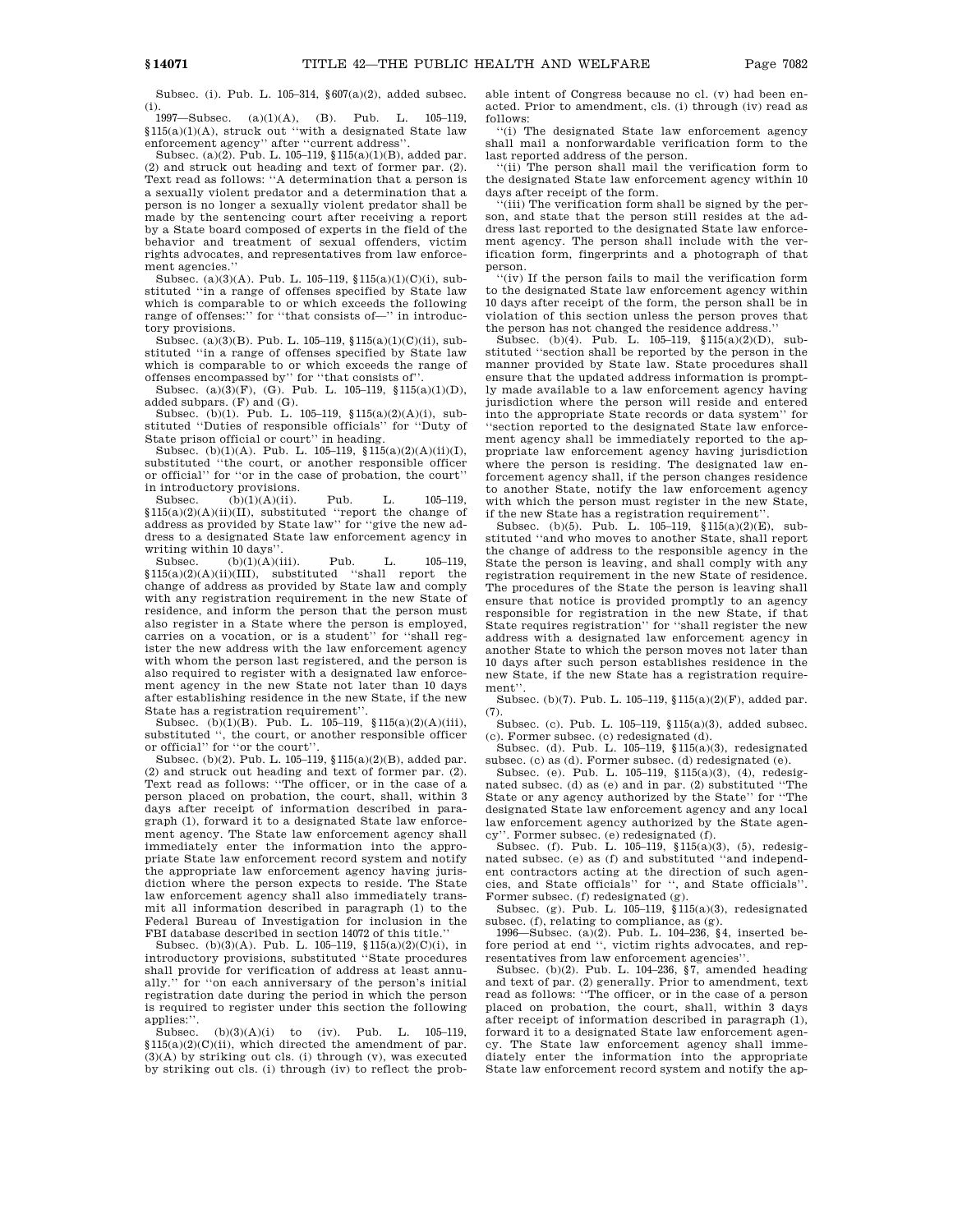Subsec. (i). Pub. L. 105–314, §607(a)(2), added subsec. (i).

1997—Subsec. (a)(1)(A), (B). Pub. L. 105–119, §115(a)(1)(A), struck out ''with a designated State law enforcement agency'' after ''current address''.

Subsec. (a)(2). Pub. L. 105–119, §115(a)(1)(B), added par. (2) and struck out heading and text of former par. (2). Text read as follows: ''A determination that a person is a sexually violent predator and a determination that a person is no longer a sexually violent predator shall be made by the sentencing court after receiving a report by a State board composed of experts in the field of the behavior and treatment of sexual offenders, victim rights advocates, and representatives from law enforcement agencies.''

Subsec. (a)(3)(A). Pub. L. 105–119, §115(a)(1)(C)(i), substituted ''in a range of offenses specified by State law which is comparable to or which exceeds the following range of offenses:'' for ''that consists of—'' in introductory provisions.

Subsec. (a)(3)(B). Pub. L. 105–119, §115(a)(1)(C)(ii), substituted ''in a range of offenses specified by State law which is comparable to or which exceeds the range of offenses encompassed by'' for ''that consists of''. Subsec. (a)(3)(F), (G). Pub. L. 105–119, §115(a)(1)(D),

added subpars. (F) and (G).

Subsec. (b)(1). Pub. L. 105–119, §115(a)(2)(A)(i), substituted ''Duties of responsible officials'' for ''Duty of State prison official or court'' in heading.

Subsec. (b)(1)(A). Pub. L. 105–119, §115(a)(2)(A)(ii)(I), substituted ''the court, or another responsible officer or official'' for ''or in the case of probation, the court''

in introductory provisions.<br>Subsec.  $(b)(1)(A)(ii)$ . Subsec. (b)(1)(A)(ii). Pub. L. 105–119, §115(a)(2)(A)(ii)(II), substituted ''report the change of address as provided by State law'' for ''give the new address to a designated State law enforcement agency in writing within 10 days''.

Subsec. (b)(1)(A)(iii). Pub. L. 105–119, §115(a)(2)(A)(ii)(III), substituted ''shall report the change of address as provided by State law and comply with any registration requirement in the new State of residence, and inform the person that the person must also register in a State where the person is employed, carries on a vocation, or is a student'' for ''shall register the new address with the law enforcement agency with whom the person last registered, and the person is also required to register with a designated law enforcement agency in the new State not later than 10 days after establishing residence in the new State, if the new State has a registration requirement''.

Subsec. (b) $(1)(B)$ . Pub. L. 105-119, §115(a)(2)(A)(iii), substituted ", the court, or another responsible officer or official'' for ''or the court''.

Subsec. (b)(2). Pub. L. 105–119, §115(a)(2)(B), added par. (2) and struck out heading and text of former par. (2). Text read as follows: ''The officer, or in the case of a person placed on probation, the court, shall, within 3 days after receipt of information described in paragraph (1), forward it to a designated State law enforcement agency. The State law enforcement agency shall immediately enter the information into the appropriate State law enforcement record system and notify the appropriate law enforcement agency having jurisdiction where the person expects to reside. The State law enforcement agency shall also immediately transmit all information described in paragraph (1) to the Federal Bureau of Investigation for inclusion in the FBI database described in section 14072 of this title.''

Subsec. (b)(3)(A). Pub. L. 105–119,  $115(a)(2)(C)(i)$ , in introductory provisions, substituted ''State procedures shall provide for verification of address at least annually.'' for ''on each anniversary of the person's initial registration date during the period in which the person is required to register under this section the following applies:''.

Subsec. (b)(3)(A)(i) to (iv). Pub. L. 105–119,  $115(a)(2)(C)(ii)$ , which directed the amendment of par.  $(3)(A)$  by striking out cls. (i) through  $(v)$ , was executed by striking out cls. (i) through (iv) to reflect the probable intent of Congress because no cl. (v) had been enacted. Prior to amendment, cls. (i) through (iv) read as follows:

''(i) The designated State law enforcement agency shall mail a nonforwardable verification form to the last reported address of the person.

''(ii) The person shall mail the verification form to the designated State law enforcement agency within 10 days after receipt of the form.

''(iii) The verification form shall be signed by the person, and state that the person still resides at the address last reported to the designated State law enforcement agency. The person shall include with the verification form, fingerprints and a photograph of that person.

''(iv) If the person fails to mail the verification form to the designated State law enforcement agency within 10 days after receipt of the form, the person shall be in violation of this section unless the person proves that the person has not changed the residence address.''

Subsec. (b)(4). Pub. L. 105-119,  $$115(a)(2)(D)$ , substituted ''section shall be reported by the person in the manner provided by State law. State procedures shall ensure that the updated address information is promptly made available to a law enforcement agency having jurisdiction where the person will reside and entered into the appropriate State records or data system'' for ''section reported to the designated State law enforcement agency shall be immediately reported to the appropriate law enforcement agency having jurisdiction where the person is residing. The designated law enforcement agency shall, if the person changes residence to another State, notify the law enforcement agency with which the person must register in the new State, if the new State has a registration requirement''.

Subsec. (b)(5). Pub. L. 105–119, §115(a)(2)(E), substituted ''and who moves to another State, shall report the change of address to the responsible agency in the State the person is leaving, and shall comply with any registration requirement in the new State of residence. The procedures of the State the person is leaving shall ensure that notice is provided promptly to an agency responsible for registration in the new State, if that State requires registration'' for ''shall register the new address with a designated law enforcement agency in another State to which the person moves not later than 10 days after such person establishes residence in the new State, if the new State has a registration requirement''.

Subsec. (b)(7). Pub. L. 105–119, §115(a)(2)(F), added par. (7).

Subsec. (c). Pub. L. 105–119, §115(a)(3), added subsec. (c). Former subsec. (c) redesignated (d).

Subsec. (d). Pub. L. 105–119, §115(a)(3), redesignated subsec. (c) as (d). Former subsec. (d) redesignated (e).

Subsec. (e). Pub. L. 105-119, §115(a)(3), (4), redesignated subsec. (d) as (e) and in par. (2) substituted ''The State or any agency authorized by the State'' for ''The designated State law enforcement agency and any local law enforcement agency authorized by the State agency''. Former subsec. (e) redesignated (f).

Subsec. (f). Pub. L. 105–119, §115(a)(3), (5), redesignated subsec. (e) as (f) and substituted ''and independent contractors acting at the direction of such agencies, and State officials'' for '', and State officials''. Former subsec. (f) redesignated (g).

Subsec. (g). Pub. L. 105–119, §115(a)(3), redesignated

subsec. (f), relating to compliance, as (g). 1996—Subsec. (a)(2). Pub. L. 104–236, §4, inserted before period at end '', victim rights advocates, and representatives from law enforcement agencies''.

Subsec. (b)(2). Pub. L. 104–236, §7, amended heading and text of par. (2) generally. Prior to amendment, text read as follows: ''The officer, or in the case of a person placed on probation, the court, shall, within 3 days after receipt of information described in paragraph (1), forward it to a designated State law enforcement agency. The State law enforcement agency shall immediately enter the information into the appropriate State law enforcement record system and notify the ap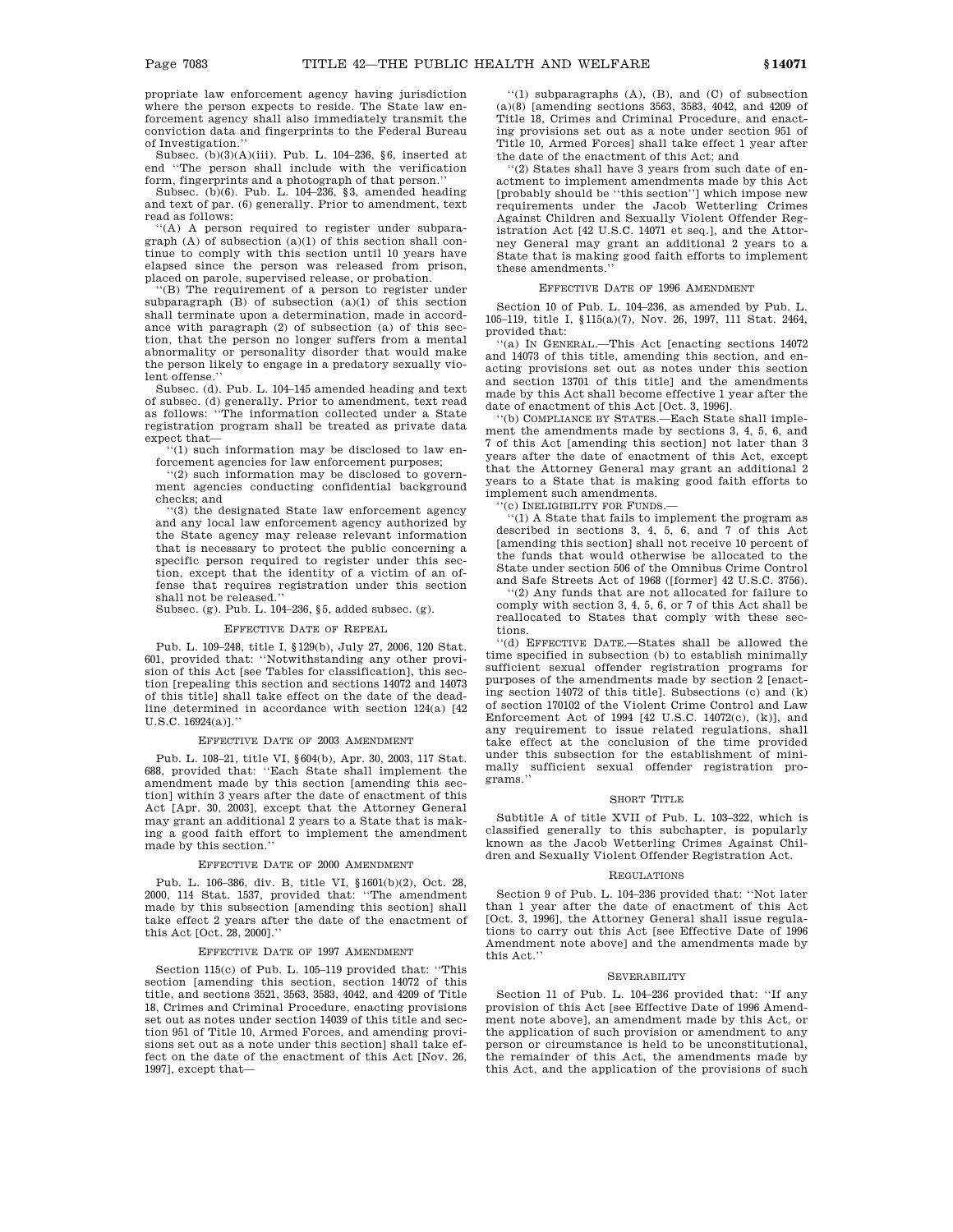propriate law enforcement agency having jurisdiction where the person expects to reside. The State law enforcement agency shall also immediately transmit the conviction data and fingerprints to the Federal Bureau of Investigation.''

Subsec. (b)(3)(A)(iii). Pub. L. 104–236, §6, inserted at end ''The person shall include with the verification form, fingerprints and a photograph of that person.''

Subsec. (b)(6). Pub. L. 104–236, §3, amended heading and text of par. (6) generally. Prior to amendment, text read as follows:

''(A) A person required to register under subparagraph (A) of subsection (a)(1) of this section shall continue to comply with this section until 10 years have elapsed since the person was released from prison, placed on parole, supervised release, or probation.

''(B) The requirement of a person to register under subparagraph (B) of subsection (a)(1) of this section shall terminate upon a determination, made in accordance with paragraph (2) of subsection (a) of this section, that the person no longer suffers from a mental abnormality or personality disorder that would make the person likely to engage in a predatory sexually violent offense.''

Subsec. (d). Pub. L. 104–145 amended heading and text of subsec. (d) generally. Prior to amendment, text read as follows: ''The information collected under a State registration program shall be treated as private data expect that—

''(1) such information may be disclosed to law enforcement agencies for law enforcement purposes;

''(2) such information may be disclosed to government agencies conducting confidential background checks; and

''(3) the designated State law enforcement agency and any local law enforcement agency authorized by the State agency may release relevant information that is necessary to protect the public concerning a specific person required to register under this section, except that the identity of a victim of an offense that requires registration under this section shall not be released.''

Subsec. (g). Pub. L. 104–236, §5, added subsec. (g).

#### EFFECTIVE DATE OF REPEAL

Pub. L. 109–248, title I, §129(b), July 27, 2006, 120 Stat. 601, provided that: ''Notwithstanding any other provision of this Act [see Tables for classification], this section [repealing this section and sections 14072 and 14073 of this title] shall take effect on the date of the deadline determined in accordance with section 124(a) [42 U.S.C. 16924(a)].''

#### EFFECTIVE DATE OF 2003 AMENDMENT

Pub. L. 108–21, title VI, §604(b), Apr. 30, 2003, 117 Stat. 688, provided that: ''Each State shall implement the amendment made by this section [amending this section] within 3 years after the date of enactment of this Act [Apr. 30, 2003], except that the Attorney General may grant an additional 2 years to a State that is making a good faith effort to implement the amendment made by this section.''

#### EFFECTIVE DATE OF 2000 AMENDMENT

Pub. L. 106–386, div. B, title VI, §1601(b)(2), Oct. 28, 2000, 114 Stat. 1537, provided that: ''The amendment made by this subsection [amending this section] shall take effect 2 years after the date of the enactment of this Act [Oct. 28, 2000].''

#### EFFECTIVE DATE OF 1997 AMENDMENT

Section 115(c) of Pub. L. 105–119 provided that: ''This section [amending this section, section 14072 of this title, and sections 3521, 3563, 3583, 4042, and 4209 of Title 18, Crimes and Criminal Procedure, enacting provisions set out as notes under section 14039 of this title and section 951 of Title 10, Armed Forces, and amending provisions set out as a note under this section] shall take effect on the date of the enactment of this Act [Nov. 26, 1997], except that—

''(1) subparagraphs (A), (B), and (C) of subsection (a)(8) [amending sections 3563, 3583, 4042, and 4209 of Title 18, Crimes and Criminal Procedure, and enacting provisions set out as a note under section 951 of Title 10, Armed Forces] shall take effect 1 year after the date of the enactment of this Act; and

''(2) States shall have 3 years from such date of enactment to implement amendments made by this Act [probably should be ''this section''] which impose new requirements under the Jacob Wetterling Crimes Against Children and Sexually Violent Offender Registration Act [42 U.S.C. 14071 et seq.], and the Attorney General may grant an additional 2 years to a State that is making good faith efforts to implement these amendments.''

#### EFFECTIVE DATE OF 1996 AMENDMENT

Section 10 of Pub. L. 104–236, as amended by Pub. L. 105–119, title I, §115(a)(7), Nov. 26, 1997, 111 Stat. 2464, provided that:

''(a) IN GENERAL.—This Act [enacting sections 14072 and 14073 of this title, amending this section, and enacting provisions set out as notes under this section and section 13701 of this title] and the amendments made by this Act shall become effective 1 year after the date of enactment of this Act [Oct. 3, 1996].

''(b) COMPLIANCE BY STATES.—Each State shall implement the amendments made by sections 3, 4, 5, 6, and 7 of this Act [amending this section] not later than 3 years after the date of enactment of this Act, except that the Attorney General may grant an additional 2 years to a State that is making good faith efforts to implement such amendments.

''(c) INELIGIBILITY FOR FUNDS.—

''(1) A State that fails to implement the program as described in sections 3, 4, 5, 6, and 7 of this Act [amending this section] shall not receive 10 percent of the funds that would otherwise be allocated to the State under section 506 of the Omnibus Crime Control and Safe Streets Act of 1968 ([former] 42 U.S.C. 3756).

''(2) Any funds that are not allocated for failure to comply with section 3, 4, 5, 6, or 7 of this Act shall be reallocated to States that comply with these sections.

''(d) EFFECTIVE DATE.—States shall be allowed the time specified in subsection (b) to establish minimally sufficient sexual offender registration programs for purposes of the amendments made by section 2 [enacting section 14072 of this title]. Subsections (c) and (k) of section 170102 of the Violent Crime Control and Law Enforcement Act of 1994 [42 U.S.C. 14072(c), (k)], and any requirement to issue related regulations, shall take effect at the conclusion of the time provided under this subsection for the establishment of minimally sufficient sexual offender registration programs.''

#### SHORT TITLE

Subtitle A of title XVII of Pub. L. 103–322, which is classified generally to this subchapter, is popularly known as the Jacob Wetterling Crimes Against Children and Sexually Violent Offender Registration Act.

#### REGULATIONS

Section 9 of Pub. L. 104–236 provided that: ''Not later than 1 year after the date of enactment of this Act [Oct. 3, 1996], the Attorney General shall issue regulations to carry out this Act [see Effective Date of 1996 Amendment note above] and the amendments made by this Act.''

#### SEVERABILITY

Section 11 of Pub. L. 104–236 provided that: ''If any provision of this Act [see Effective Date of 1996 Amendment note above], an amendment made by this Act, or the application of such provision or amendment to any person or circumstance is held to be unconstitutional, the remainder of this Act, the amendments made by this Act, and the application of the provisions of such